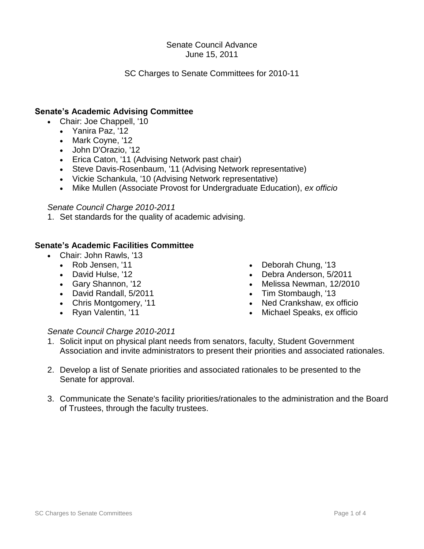## Senate Council Advance June 15, 2011

# SC Charges to Senate Committees for 2010-11

# **Senate's Academic Advising Committee**

- Chair: Joe Chappell, '10
	- Yanira Paz, '12
	- Mark Coyne, '12
	- John D'Orazio, '12
	- Erica Caton, '11 (Advising Network past chair)
	- Steve Davis-Rosenbaum, '11 (Advising Network representative)
	- Vickie Schankula, '10 (Advising Network representative)
	- Mike Mullen (Associate Provost for Undergraduate Education), *ex officio*

## *Senate Council Charge 2010-2011*

1. Set standards for the quality of academic advising.

## **Senate's Academic Facilities Committee**

- Chair: John Rawls, '13
	- Rob Jensen, '11
	- David Hulse, '12
	- Gary Shannon, '12
	- David Randall, 5/2011
	- Chris Montgomery, '11
	- Ryan Valentin, '11

- Deborah Chung, '13
- Debra Anderson, 5/2011
- Melissa Newman, 12/2010
- Tim Stombaugh, '13
- Ned Crankshaw, ex officio
- Michael Speaks, ex officio
- 1. Solicit input on physical plant needs from senators, faculty, Student Government Association and invite administrators to present their priorities and associated rationales.
- 2. Develop a list of Senate priorities and associated rationales to be presented to the Senate for approval.
- 3. Communicate the Senate's facility priorities/rationales to the administration and the Board of Trustees, through the faculty trustees.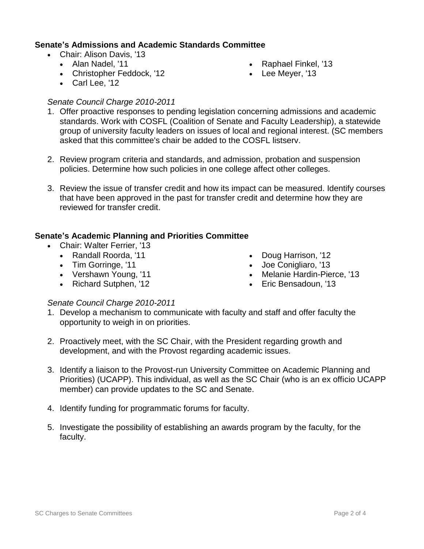# **Senate's Admissions and Academic Standards Committee**

- Chair: Alison Davis, '13
	- Alan Nadel, '11
	- Christopher Feddock, '12
- Raphael Finkel, '13
- Lee Meyer, '13

• Carl Lee, '12

# *Senate Council Charge 2010-2011*

- 1. Offer proactive responses to pending legislation concerning admissions and academic standards. Work with COSFL (Coalition of Senate and Faculty Leadership), a statewide group of university faculty leaders on issues of local and regional interest. (SC members asked that this committee's chair be added to the COSFL listserv.
- 2. Review program criteria and standards, and admission, probation and suspension policies. Determine how such policies in one college affect other colleges.
- 3. Review the issue of transfer credit and how its impact can be measured. Identify courses that have been approved in the past for transfer credit and determine how they are reviewed for transfer credit.

# **Senate's Academic Planning and Priorities Committee**

- Chair: Walter Ferrier, '13
	- Randall Roorda, '11
	- Tim Gorringe, '11
	- Vershawn Young, '11
	- Richard Sutphen, '12
- Doug Harrison, '12
- Joe Conigliaro, '13
- Melanie Hardin-Pierce, '13
- Eric Bensadoun, '13

- 1. Develop a mechanism to communicate with faculty and staff and offer faculty the opportunity to weigh in on priorities.
- 2. Proactively meet, with the SC Chair, with the President regarding growth and development, and with the Provost regarding academic issues.
- 3. Identify a liaison to the Provost-run University Committee on Academic Planning and Priorities) (UCAPP). This individual, as well as the SC Chair (who is an ex officio UCAPP member) can provide updates to the SC and Senate.
- 4. Identify funding for programmatic forums for faculty.
- 5. Investigate the possibility of establishing an awards program by the faculty, for the faculty.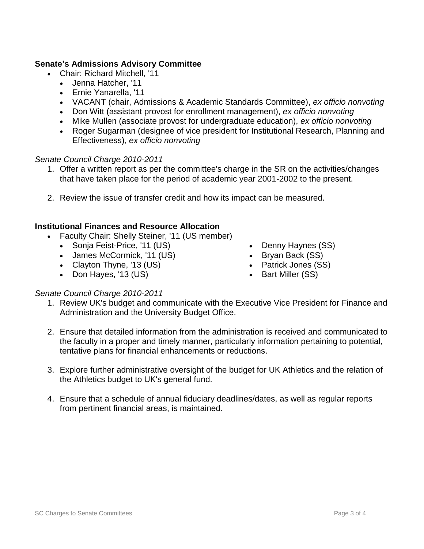## **Senate's Admissions Advisory Committee**

- Chair: Richard Mitchell, '11
	- Jenna Hatcher, '11
	- Ernie Yanarella, '11
	- VACANT (chair, Admissions & Academic Standards Committee), *ex officio nonvoting*
	- Don Witt (assistant provost for enrollment management), *ex officio nonvoting*
	- Mike Mullen (associate provost for undergraduate education), *ex officio nonvoting*
	- Roger Sugarman (designee of vice president for Institutional Research, Planning and Effectiveness), *ex officio nonvoting*

### *Senate Council Charge 2010-2011*

- 1. Offer a written report as per the committee's charge in the SR on the activities/changes that have taken place for the period of academic year 2001-2002 to the present.
- 2. Review the issue of transfer credit and how its impact can be measured.

#### **Institutional Finances and Resource Allocation**

- Faculty Chair: Shelly Steiner, '11 (US member)
	- Sonja Feist-Price, '11 (US)
	- James McCormick, '11 (US)
	- Clayton Thyne, '13 (US)
	- Don Hayes, '13 (US)
- Denny Haynes (SS)
- Bryan Back (SS)
- Patrick Jones (SS)
- Bart Miller (SS)

- 1. Review UK's budget and communicate with the Executive Vice President for Finance and Administration and the University Budget Office.
- 2. Ensure that detailed information from the administration is received and communicated to the faculty in a proper and timely manner, particularly information pertaining to potential, tentative plans for financial enhancements or reductions.
- 3. Explore further administrative oversight of the budget for UK Athletics and the relation of the Athletics budget to UK's general fund.
- 4. Ensure that a schedule of annual fiduciary deadlines/dates, as well as regular reports from pertinent financial areas, is maintained.